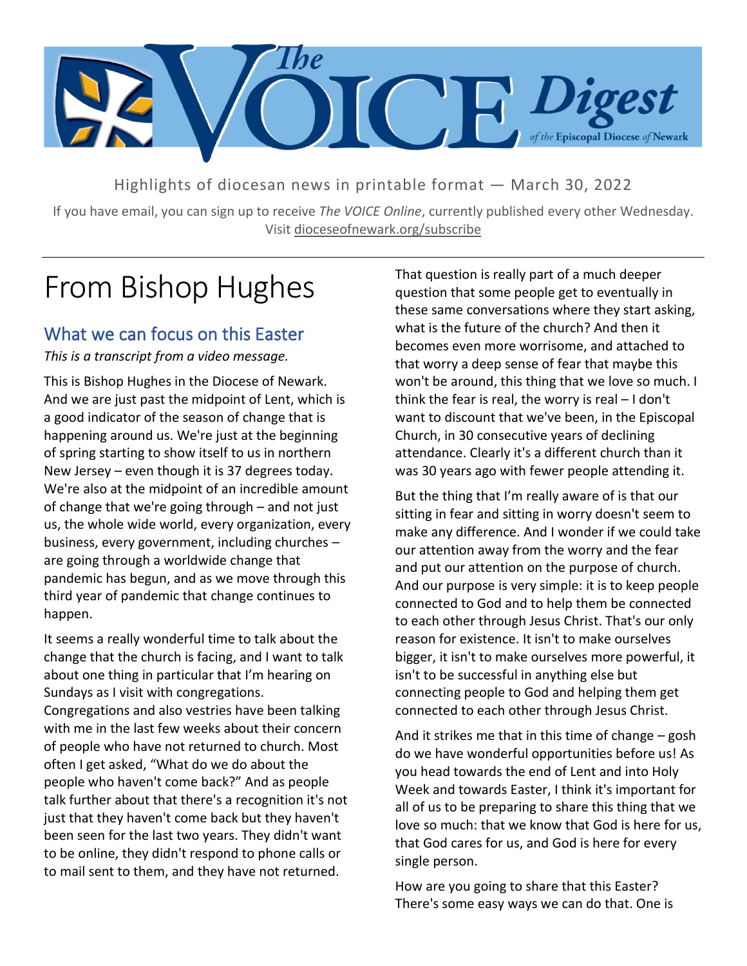

Highlights of diocesan news in printable format — March 30, 2022

If you have email, you can sign up to receive *The VOICE Online*, currently published every other Wednesday. Visit dioceseofnewark.org/subscribe

# From Bishop Hughes

### What we can focus on this Easter

*This is a transcript from a video message.*

This is Bishop Hughes in the Diocese of Newark. And we are just past the midpoint of Lent, which is a good indicator of the season of change that is happening around us. We're just at the beginning of spring starting to show itself to us in northern New Jersey – even though it is 37 degrees today. We're also at the midpoint of an incredible amount of change that we're going through – and not just us, the whole wide world, every organization, every business, every government, including churches – are going through a worldwide change that pandemic has begun, and as we move through this third year of pandemic that change continues to happen.

It seems a really wonderful time to talk about the change that the church is facing, and I want to talk about one thing in particular that I'm hearing on Sundays as I visit with congregations.

Congregations and also vestries have been talking with me in the last few weeks about their concern of people who have not returned to church. Most often I get asked, "What do we do about the people who haven't come back?" And as people talk further about that there's a recognition it's not just that they haven't come back but they haven't been seen for the last two years. They didn't want to be online, they didn't respond to phone calls or to mail sent to them, and they have not returned.

That question is really part of a much deeper question that some people get to eventually in these same conversations where they start asking, what is the future of the church? And then it becomes even more worrisome, and attached to that worry a deep sense of fear that maybe this won't be around, this thing that we love so much. I think the fear is real, the worry is real – I don't want to discount that we've been, in the Episcopal Church, in 30 consecutive years of declining attendance. Clearly it's a different church than it was 30 years ago with fewer people attending it.

But the thing that I'm really aware of is that our sitting in fear and sitting in worry doesn't seem to make any difference. And I wonder if we could take our attention away from the worry and the fear and put our attention on the purpose of church. And our purpose is very simple: it is to keep people connected to God and to help them be connected to each other through Jesus Christ. That's our only reason for existence. It isn't to make ourselves bigger, it isn't to make ourselves more powerful, it isn't to be successful in anything else but connecting people to God and helping them get connected to each other through Jesus Christ.

And it strikes me that in this time of change – gosh do we have wonderful opportunities before us! As you head towards the end of Lent and into Holy Week and towards Easter, I think it's important for all of us to be preparing to share this thing that we love so much: that we know that God is here for us, that God cares for us, and God is here for every single person.

How are you going to share that this Easter? There's some easy ways we can do that. One is